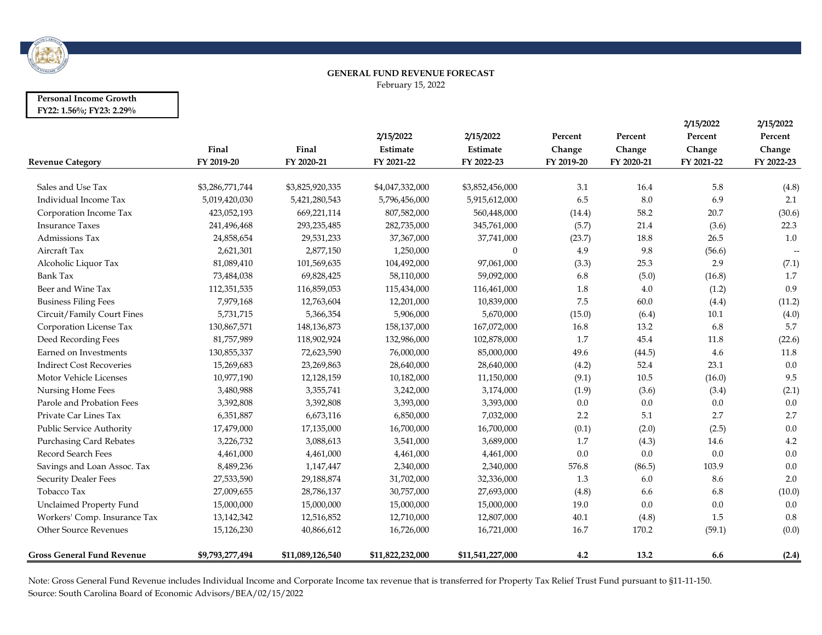

#### **GENERAL FUND REVENUE FORECAST** February 15, 2022

#### **Personal Income Growth FY22: 1.56%; FY23: 2.29%**

| <b>Revenue Category</b>           | Final<br>FY 2019-20 | Final<br>FY 2020-21 | 2/15/2022<br>Estimate<br>FY 2021-22 | 2/15/2022<br>Estimate<br>FY 2022-23 | Percent<br>Change<br>FY 2019-20 | Percent<br>Change<br>FY 2020-21 | 2/15/2022<br>Percent<br>Change<br>FY 2021-22 | 2/15/2022<br>Percent<br>Change<br>FY 2022-23 |
|-----------------------------------|---------------------|---------------------|-------------------------------------|-------------------------------------|---------------------------------|---------------------------------|----------------------------------------------|----------------------------------------------|
|                                   |                     |                     |                                     |                                     |                                 |                                 |                                              |                                              |
| Sales and Use Tax                 | \$3,286,771,744     | \$3,825,920,335     | \$4,047,332,000                     | \$3,852,456,000                     | 3.1                             | 16.4                            | 5.8                                          | (4.8)                                        |
| Individual Income Tax             | 5,019,420,030       | 5,421,280,543       | 5,796,456,000                       | 5,915,612,000                       | 6.5                             | 8.0                             | 6.9                                          | 2.1                                          |
| Corporation Income Tax            | 423,052,193         | 669,221,114         | 807,582,000                         | 560,448,000                         | (14.4)                          | 58.2                            | 20.7                                         | (30.6)                                       |
| <b>Insurance Taxes</b>            | 241,496,468         | 293, 235, 485       | 282,735,000                         | 345,761,000                         | (5.7)                           | 21.4                            | (3.6)                                        | 22.3                                         |
| Admissions Tax                    | 24,858,654          | 29,531,233          | 37,367,000                          | 37,741,000                          | (23.7)                          | 18.8                            | 26.5                                         | 1.0                                          |
| Aircraft Tax                      | 2,621,301           | 2,877,150           | 1,250,000                           | $\mathbf{0}$                        | 4.9                             | 9.8                             | (56.6)                                       | $\overline{\phantom{a}}$                     |
| Alcoholic Liquor Tax              | 81,089,410          | 101,569,635         | 104,492,000                         | 97,061,000                          | (3.3)                           | 25.3                            | 2.9                                          | (7.1)                                        |
| Bank Tax                          | 73,484,038          | 69,828,425          | 58,110,000                          | 59,092,000                          | 6.8                             | (5.0)                           | (16.8)                                       | 1.7                                          |
| Beer and Wine Tax                 | 112,351,535         | 116,859,053         | 115,434,000                         | 116,461,000                         | 1.8                             | 4.0                             | (1.2)                                        | 0.9                                          |
| <b>Business Filing Fees</b>       | 7,979,168           | 12,763,604          | 12,201,000                          | 10,839,000                          | 7.5                             | 60.0                            | (4.4)                                        | (11.2)                                       |
| Circuit/Family Court Fines        | 5,731,715           | 5,366,354           | 5,906,000                           | 5,670,000                           | (15.0)                          | (6.4)                           | 10.1                                         | (4.0)                                        |
| Corporation License Tax           | 130,867,571         | 148,136,873         | 158,137,000                         | 167,072,000                         | 16.8                            | 13.2                            | 6.8                                          | 5.7                                          |
| Deed Recording Fees               | 81,757,989          | 118,902,924         | 132,986,000                         | 102,878,000                         | 1.7                             | 45.4                            | 11.8                                         | (22.6)                                       |
| Earned on Investments             | 130,855,337         | 72,623,590          | 76,000,000                          | 85,000,000                          | 49.6                            | (44.5)                          | 4.6                                          | 11.8                                         |
| <b>Indirect Cost Recoveries</b>   | 15,269,683          | 23,269,863          | 28,640,000                          | 28,640,000                          | (4.2)                           | 52.4                            | 23.1                                         | 0.0                                          |
| Motor Vehicle Licenses            | 10,977,190          | 12,128,159          | 10,182,000                          | 11,150,000                          | (9.1)                           | 10.5                            | (16.0)                                       | 9.5                                          |
| Nursing Home Fees                 | 3,480,988           | 3,355,741           | 3,242,000                           | 3,174,000                           | (1.9)                           | (3.6)                           | (3.4)                                        | (2.1)                                        |
| Parole and Probation Fees         | 3,392,808           | 3,392,808           | 3,393,000                           | 3,393,000                           | 0.0                             | 0.0                             | 0.0                                          | $0.0\,$                                      |
| Private Car Lines Tax             | 6,351,887           | 6,673,116           | 6,850,000                           | 7,032,000                           | 2.2                             | 5.1                             | 2.7                                          | 2.7                                          |
| Public Service Authority          | 17,479,000          | 17,135,000          | 16,700,000                          | 16,700,000                          | (0.1)                           | (2.0)                           | (2.5)                                        | 0.0                                          |
| <b>Purchasing Card Rebates</b>    | 3,226,732           | 3,088,613           | 3,541,000                           | 3,689,000                           | 1.7                             | (4.3)                           | 14.6                                         | 4.2                                          |
| Record Search Fees                | 4,461,000           | 4,461,000           | 4,461,000                           | 4,461,000                           | 0.0                             | 0.0                             | 0.0                                          | 0.0                                          |
| Savings and Loan Assoc. Tax       | 8,489,236           | 1,147,447           | 2,340,000                           | 2,340,000                           | 576.8                           | (86.5)                          | 103.9                                        | 0.0                                          |
| <b>Security Dealer Fees</b>       | 27,533,590          | 29,188,874          | 31,702,000                          | 32,336,000                          | 1.3                             | 6.0                             | 8.6                                          | 2.0                                          |
| Tobacco Tax                       | 27,009,655          | 28,786,137          | 30,757,000                          | 27,693,000                          | (4.8)                           | 6.6                             | 6.8                                          | (10.0)                                       |
| Unclaimed Property Fund           | 15,000,000          | 15,000,000          | 15,000,000                          | 15,000,000                          | 19.0                            | 0.0                             | 0.0                                          | $0.0\,$                                      |
| Workers' Comp. Insurance Tax      | 13,142,342          | 12,516,852          | 12,710,000                          | 12,807,000                          | 40.1                            | (4.8)                           | 1.5                                          | $0.8\,$                                      |
| Other Source Revenues             | 15,126,230          | 40,866,612          | 16,726,000                          | 16,721,000                          | 16.7                            | 170.2                           | (59.1)                                       | (0.0)                                        |
| <b>Gross General Fund Revenue</b> | \$9,793,277,494     | \$11,089,126,540    | \$11,822,232,000                    | \$11,541,227,000                    | 4.2                             | 13.2                            | 6.6                                          | (2.4)                                        |

Note: Gross General Fund Revenue includes Individual Income and Corporate Income tax revenue that is transferred for Property Tax Relief Trust Fund pursuant to §11-11-150. Source: South Carolina Board of Economic Advisors/BEA/02/15/2022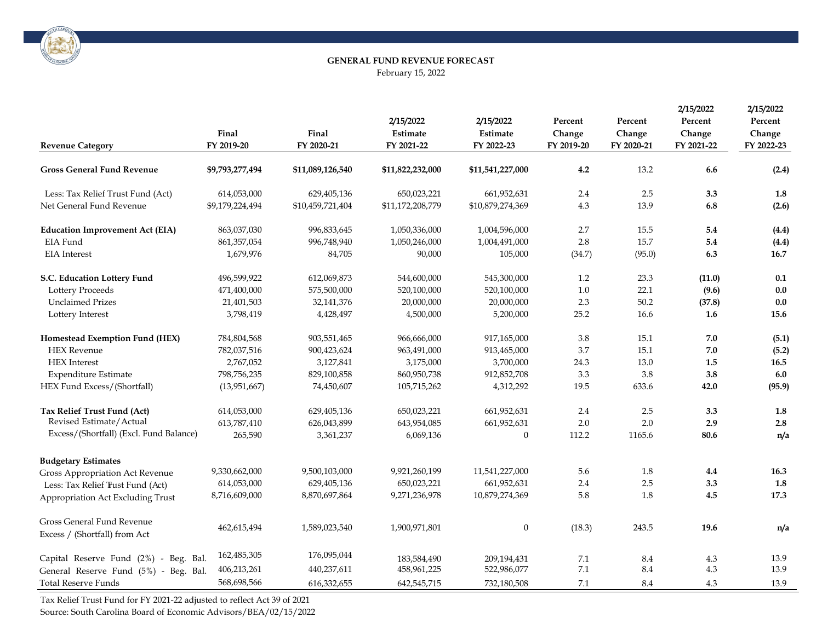

# **GENERAL FUND REVENUE FORECAST** February 15, 2022

| <b>Revenue Category</b>                                            | Final<br>FY 2019-20 | Final<br>FY 2020-21 | 2/15/2022<br>Estimate<br>FY 2021-22 | 2/15/2022<br>Estimate<br>FY 2022-23 | Percent<br>Change<br>FY 2019-20 | Percent<br>Change<br>FY 2020-21 | 2/15/2022<br>Percent<br>Change<br>FY 2021-22 | 2/15/2022<br>Percent<br>Change<br>FY 2022-23 |
|--------------------------------------------------------------------|---------------------|---------------------|-------------------------------------|-------------------------------------|---------------------------------|---------------------------------|----------------------------------------------|----------------------------------------------|
|                                                                    |                     |                     |                                     |                                     |                                 |                                 |                                              |                                              |
| <b>Gross General Fund Revenue</b>                                  | \$9,793,277,494     | \$11,089,126,540    | \$11,822,232,000                    | \$11,541,227,000                    | 4.2                             | 13.2                            | 6.6                                          | (2.4)                                        |
| Less: Tax Relief Trust Fund (Act)                                  | 614,053,000         | 629,405,136         | 650,023,221                         | 661,952,631                         | 2.4                             | 2.5                             | 3.3                                          | 1.8                                          |
| Net General Fund Revenue                                           | \$9,179,224,494     | \$10,459,721,404    | \$11,172,208,779                    | \$10,879,274,369                    | 4.3                             | 13.9                            | 6.8                                          | (2.6)                                        |
| <b>Education Improvement Act (EIA)</b>                             | 863,037,030         | 996,833,645         | 1,050,336,000                       | 1,004,596,000                       | 2.7                             | 15.5                            | 5.4                                          | (4.4)                                        |
| EIA Fund                                                           | 861, 357, 054       | 996,748,940         | 1,050,246,000                       | 1,004,491,000                       | 2.8                             | 15.7                            | 5.4                                          | (4.4)                                        |
| <b>EIA</b> Interest                                                | 1,679,976           | 84,705              | 90,000                              | 105,000                             | (34.7)                          | (95.0)                          | 6.3                                          | 16.7                                         |
| S.C. Education Lottery Fund                                        | 496,599,922         | 612,069,873         | 544,600,000                         | 545,300,000                         | 1.2                             | 23.3                            | (11.0)                                       | 0.1                                          |
| <b>Lottery Proceeds</b>                                            | 471,400,000         | 575,500,000         | 520,100,000                         | 520,100,000                         | 1.0                             | 22.1                            | (9.6)                                        | 0.0                                          |
| <b>Unclaimed Prizes</b>                                            | 21,401,503          | 32,141,376          | 20,000,000                          | 20,000,000                          | 2.3                             | $50.2\,$                        | (37.8)                                       | 0.0                                          |
| Lottery Interest                                                   | 3,798,419           | 4,428,497           | 4,500,000                           | 5,200,000                           | 25.2                            | 16.6                            | 1.6                                          | 15.6                                         |
| Homestead Exemption Fund (HEX)                                     | 784,804,568         | 903,551,465         | 966,666,000                         | 917,165,000                         | 3.8                             | 15.1                            | 7.0                                          | (5.1)                                        |
| <b>HEX</b> Revenue                                                 | 782,037,516         | 900,423,624         | 963,491,000                         | 913,465,000                         | 3.7                             | 15.1                            | 7.0                                          | (5.2)                                        |
| <b>HEX</b> Interest                                                | 2,767,052           | 3,127,841           | 3,175,000                           | 3,700,000                           | 24.3                            | 13.0                            | 1.5                                          | 16.5                                         |
| <b>Expenditure Estimate</b>                                        | 798,756,235         | 829,100,858         | 860,950,738                         | 912,852,708                         | 3.3                             | 3.8                             | 3.8                                          | 6.0                                          |
| HEX Fund Excess/(Shortfall)                                        | (13,951,667)        | 74,450,607          | 105,715,262                         | 4,312,292                           | 19.5                            | 633.6                           | 42.0                                         | (95.9)                                       |
| Tax Relief Trust Fund (Act)                                        | 614,053,000         | 629,405,136         | 650,023,221                         | 661,952,631                         | 2.4                             | 2.5                             | 3.3                                          | 1.8                                          |
| Revised Estimate/Actual                                            | 613,787,410         | 626,043,899         | 643,954,085                         | 661,952,631                         | 2.0                             | 2.0                             | 2.9                                          | $2.8\,$                                      |
| Excess/(Shortfall) (Excl. Fund Balance)                            | 265,590             | 3,361,237           | 6,069,136                           | $\mathbf{0}$                        | 112.2                           | 1165.6                          | 80.6                                         | n/a                                          |
| <b>Budgetary Estimates</b>                                         |                     |                     |                                     |                                     |                                 |                                 |                                              |                                              |
| <b>Gross Appropriation Act Revenue</b>                             | 9,330,662,000       | 9,500,103,000       | 9,921,260,199                       | 11,541,227,000                      | 5.6                             | 1.8                             | 4.4                                          | 16.3                                         |
| Less: Tax Relief Tust Fund (Act)                                   | 614,053,000         | 629,405,136         | 650,023,221                         | 661,952,631                         | 2.4                             | 2.5                             | 3.3                                          | 1.8                                          |
| Appropriation Act Excluding Trust                                  | 8,716,609,000       | 8,870,697,864       | 9,271,236,978                       | 10,879,274,369                      | 5.8                             | 1.8                             | 4.5                                          | 17.3                                         |
| <b>Gross General Fund Revenue</b><br>Excess / (Shortfall) from Act | 462,615,494         | 1,589,023,540       | 1,900,971,801                       | $\boldsymbol{0}$                    | (18.3)                          | 243.5                           | 19.6                                         | n/a                                          |
| Capital Reserve Fund (2%) - Beg. Bal.                              | 162,485,305         | 176,095,044         | 183,584,490                         | 209.194.431                         | 7.1                             | 8.4                             | 4.3                                          | 13.9                                         |
| General Reserve Fund (5%) - Beg. Bal.                              | 406,213,261         | 440,237,611         | 458,961,225                         | 522,986,077                         | 7.1                             | 8.4                             | 4.3                                          | 13.9                                         |
| <b>Total Reserve Funds</b>                                         | 568,698,566         | 616,332,655         | 642,545,715                         | 732,180,508                         | 7.1                             | 8.4                             | 4.3                                          | 13.9                                         |

Tax Relief Trust Fund for FY 2021-22 adjusted to reflect Act 39 of 2021

Source: South Carolina Board of Economic Advisors/BEA/02/15/2022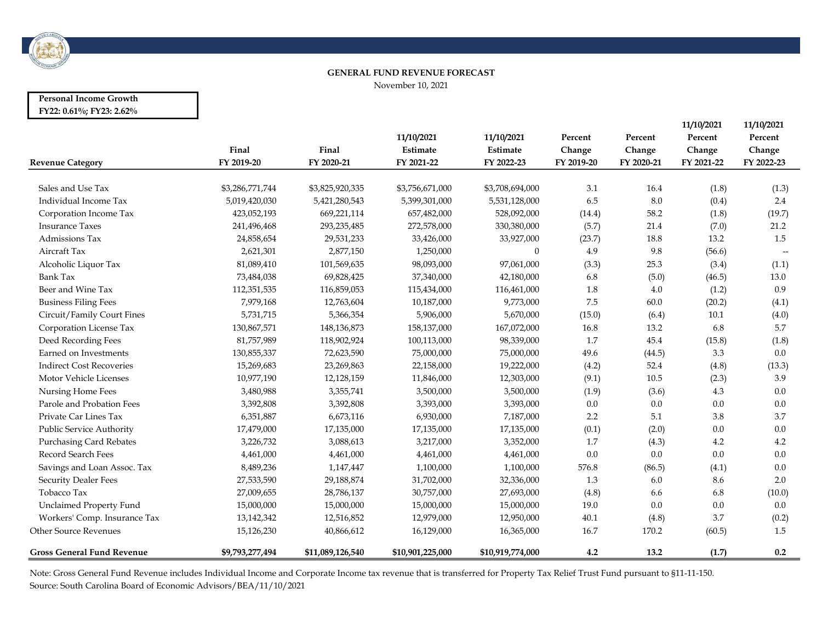

#### GENERAL FUND REVENUE FORECAST

November 10, 2021

### Personal Income Growth FY22: 0.61%; FY23: 2.62%

|                                   |                 |                  |                  |                  |            |            | 11/10/2021 | 11/10/2021                          |
|-----------------------------------|-----------------|------------------|------------------|------------------|------------|------------|------------|-------------------------------------|
|                                   |                 |                  | 11/10/2021       | 11/10/2021       | Percent    | Percent    | Percent    | Percent                             |
|                                   | Final           | Final            | Estimate         | Estimate         | Change     | Change     | Change     | Change                              |
| <b>Revenue Category</b>           | FY 2019-20      | FY 2020-21       | FY 2021-22       | FY 2022-23       | FY 2019-20 | FY 2020-21 | FY 2021-22 | FY 2022-23                          |
| Sales and Use Tax                 | \$3,286,771,744 | \$3,825,920,335  | \$3,756,671,000  | \$3,708,694,000  | 3.1        | 16.4       |            |                                     |
| Individual Income Tax             |                 |                  |                  |                  | 6.5        | $8.0\,$    | (1.8)      | (1.3)<br>2.4                        |
|                                   | 5,019,420,030   | 5,421,280,543    | 5,399,301,000    | 5,531,128,000    |            |            | (0.4)      |                                     |
| Corporation Income Tax            | 423,052,193     | 669,221,114      | 657,482,000      | 528,092,000      | (14.4)     | 58.2       | (1.8)      | (19.7)                              |
| <b>Insurance Taxes</b>            | 241,496,468     | 293, 235, 485    | 272,578,000      | 330,380,000      | (5.7)      | 21.4       | (7.0)      | 21.2                                |
| Admissions Tax                    | 24,858,654      | 29,531,233       | 33,426,000       | 33,927,000       | (23.7)     | 18.8       | 13.2       | 1.5                                 |
| Aircraft Tax                      | 2,621,301       | 2,877,150        | 1,250,000        | $\mathbf{0}$     | 4.9        | 9.8        | (56.6)     | $\hspace{0.05cm}$ $\hspace{0.05cm}$ |
| Alcoholic Liquor Tax              | 81,089,410      | 101,569,635      | 98,093,000       | 97,061,000       | (3.3)      | 25.3       | (3.4)      | (1.1)                               |
| <b>Bank Tax</b>                   | 73,484,038      | 69,828,425       | 37,340,000       | 42,180,000       | 6.8        | (5.0)      | (46.5)     | 13.0                                |
| Beer and Wine Tax                 | 112,351,535     | 116,859,053      | 115,434,000      | 116,461,000      | 1.8        | 4.0        | (1.2)      | 0.9                                 |
| <b>Business Filing Fees</b>       | 7,979,168       | 12,763,604       | 10,187,000       | 9,773,000        | 7.5        | 60.0       | (20.2)     | (4.1)                               |
| Circuit/Family Court Fines        | 5,731,715       | 5,366,354        | 5,906,000        | 5,670,000        | (15.0)     | (6.4)      | 10.1       | (4.0)                               |
| Corporation License Tax           | 130,867,571     | 148,136,873      | 158,137,000      | 167,072,000      | 16.8       | 13.2       | 6.8        | 5.7                                 |
| Deed Recording Fees               | 81,757,989      | 118,902,924      | 100,113,000      | 98,339,000       | 1.7        | 45.4       | (15.8)     | (1.8)                               |
| Earned on Investments             | 130,855,337     | 72,623,590       | 75,000,000       | 75,000,000       | 49.6       | (44.5)     | 3.3        | 0.0                                 |
| <b>Indirect Cost Recoveries</b>   | 15,269,683      | 23,269,863       | 22,158,000       | 19,222,000       | (4.2)      | 52.4       | (4.8)      | (13.3)                              |
| Motor Vehicle Licenses            | 10,977,190      | 12,128,159       | 11,846,000       | 12,303,000       | (9.1)      | 10.5       | (2.3)      | 3.9                                 |
| Nursing Home Fees                 | 3,480,988       | 3,355,741        | 3,500,000        | 3,500,000        | (1.9)      | (3.6)      | 4.3        | 0.0                                 |
| Parole and Probation Fees         | 3,392,808       | 3,392,808        | 3,393,000        | 3,393,000        | 0.0        | 0.0        | $0.0\,$    | 0.0                                 |
| Private Car Lines Tax             | 6,351,887       | 6,673,116        | 6,930,000        | 7,187,000        | 2.2        | 5.1        | 3.8        | 3.7                                 |
| Public Service Authority          | 17,479,000      | 17,135,000       | 17,135,000       | 17,135,000       | (0.1)      | (2.0)      | 0.0        | 0.0                                 |
| <b>Purchasing Card Rebates</b>    | 3,226,732       | 3,088,613        | 3,217,000        | 3,352,000        | 1.7        | (4.3)      | 4.2        | 4.2                                 |
| Record Search Fees                | 4,461,000       | 4,461,000        | 4,461,000        | 4,461,000        | $0.0\,$    | 0.0        | 0.0        | 0.0                                 |
| Savings and Loan Assoc. Tax       | 8,489,236       | 1,147,447        | 1,100,000        | 1,100,000        | 576.8      | (86.5)     | (4.1)      | 0.0                                 |
| <b>Security Dealer Fees</b>       | 27,533,590      | 29,188,874       | 31,702,000       | 32,336,000       | 1.3        | 6.0        | 8.6        | 2.0                                 |
| Tobacco Tax                       | 27,009,655      | 28,786,137       | 30,757,000       | 27,693,000       | (4.8)      | 6.6        | 6.8        | (10.0)                              |
| Unclaimed Property Fund           | 15,000,000      | 15,000,000       | 15,000,000       | 15,000,000       | 19.0       | 0.0        | 0.0        | 0.0                                 |
| Workers' Comp. Insurance Tax      | 13,142,342      | 12,516,852       | 12,979,000       | 12,950,000       | 40.1       | (4.8)      | 3.7        | (0.2)                               |
| <b>Other Source Revenues</b>      | 15,126,230      | 40,866,612       | 16,129,000       | 16,365,000       | 16.7       | 170.2      | (60.5)     | 1.5                                 |
| <b>Gross General Fund Revenue</b> | \$9,793,277,494 | \$11,089,126,540 | \$10,901,225,000 | \$10,919,774,000 | 4.2        | 13.2       | (1.7)      | 0.2                                 |

Note: Gross General Fund Revenue includes Individual Income and Corporate Income tax revenue that is transferred for Property Tax Relief Trust Fund pursuant to §11-11-150. Source: South Carolina Board of Economic Advisors/BEA/11/10/2021